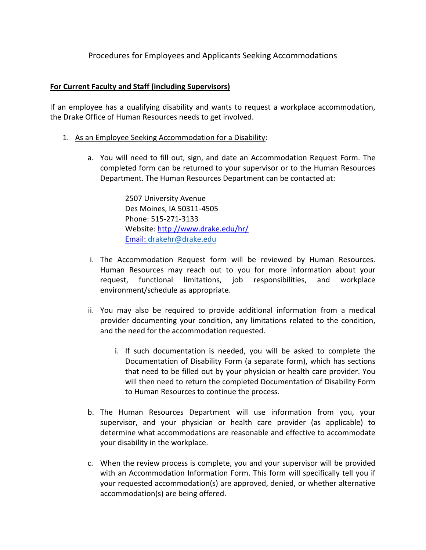## Procedures for Employees and Applicants Seeking Accommodations

## **For Current Faculty and Staff (including Supervisors)**

If an employee has a qualifying disability and wants to request a workplace accommodation, the Drake Office of Human Resources needs to get involved.

- 1. As an Employee Seeking Accommodation for a Disability:
	- a. You will need to fill out, sign, and date an Accommodation Request Form. The completed form can be returned to your supervisor or to the Human Resources Department. The Human Resources Department can be contacted at:

2507 University Avenue Des Moines, IA 50311-4505 Phone: 515-271-3133 Website:<http://www.drake.edu/hr/> Email: [drakehr@drake.edu](mailto:drakehr@drake.edu)

- i. The Accommodation Request form will be reviewed by Human Resources. Human Resources may reach out to you for more information about your request, functional limitations, job responsibilities, and workplace environment/schedule as appropriate.
- ii. You may also be required to provide additional information from a medical provider documenting your condition, any limitations related to the condition, and the need for the accommodation requested.
	- i. If such documentation is needed, you will be asked to complete the Documentation of Disability Form (a separate form), which has sections that need to be filled out by your physician or health care provider. You will then need to return the completed Documentation of Disability Form to Human Resources to continue the process.
- b. The Human Resources Department will use information from you, your supervisor, and your physician or health care provider (as applicable) to determine what accommodations are reasonable and effective to accommodate your disability in the workplace.
- c. When the review process is complete, you and your supervisor will be provided with an Accommodation Information Form. This form will specifically tell you if your requested accommodation(s) are approved, denied, or whether alternative accommodation(s) are being offered.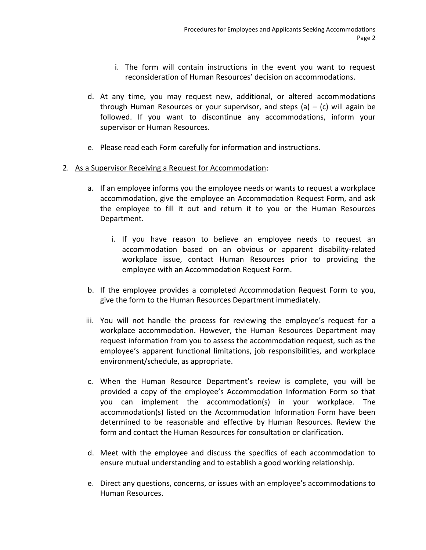- i. The form will contain instructions in the event you want to request reconsideration of Human Resources' decision on accommodations.
- d. At any time, you may request new, additional, or altered accommodations through Human Resources or your supervisor, and steps  $(a) - (c)$  will again be followed. If you want to discontinue any accommodations, inform your supervisor or Human Resources.
- e. Please read each Form carefully for information and instructions.

## 2. As a Supervisor Receiving a Request for Accommodation:

- a. If an employee informs you the employee needs or wants to request a workplace accommodation, give the employee an Accommodation Request Form, and ask the employee to fill it out and return it to you or the Human Resources Department.
	- i. If you have reason to believe an employee needs to request an accommodation based on an obvious or apparent disability-related workplace issue, contact Human Resources prior to providing the employee with an Accommodation Request Form.
- b. If the employee provides a completed Accommodation Request Form to you, give the form to the Human Resources Department immediately.
- iii. You will not handle the process for reviewing the employee's request for a workplace accommodation. However, the Human Resources Department may request information from you to assess the accommodation request, such as the employee's apparent functional limitations, job responsibilities, and workplace environment/schedule, as appropriate.
- c. When the Human Resource Department's review is complete, you will be provided a copy of the employee's Accommodation Information Form so that you can implement the accommodation(s) in your workplace. The accommodation(s) listed on the Accommodation Information Form have been determined to be reasonable and effective by Human Resources. Review the form and contact the Human Resources for consultation or clarification.
- d. Meet with the employee and discuss the specifics of each accommodation to ensure mutual understanding and to establish a good working relationship.
- e. Direct any questions, concerns, or issues with an employee's accommodations to Human Resources.